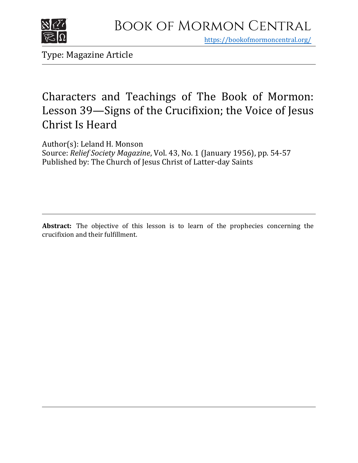

https[://bookofmormoncentral.org/](http://bookofmormoncentral.org/)

Type: Magazine Article

## Characters and Teachings of The Book of Mormon: Lesson 39—Signs of the Crucifixion; the Voice of Jesus Christ Is Heard

Author(s): Leland H. Monson Source: *Relief Society Magazine*, Vol. 43, No. 1 (January 1956), pp. 54-57 Published by: The Church of Jesus Christ of Latter-day Saints

**Abstract:** The objective of this lesson is to learn of the prophecies concerning the crucifixion and their fulfillment.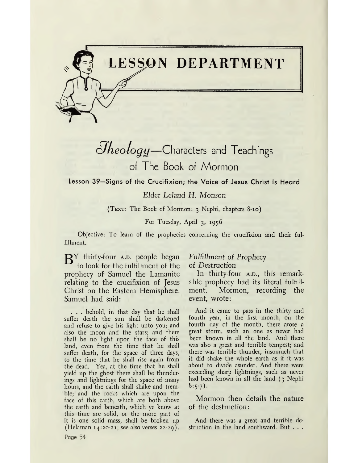

*ofkeology—*Characters and Teachings of The Book of Mormon

Lesson 39—Signs of the Crucifixion; the Voice of Jesus Christ Is Heard

*Elder Leland H. Monson*

(Text: The Book of Mormon: <sup>3</sup> Nephi, chapters 8-10)

For Tuesday, April 3, 1956

Objective: To learn of the prophecies concerning the crucifixion and their fulfillment.

 $\mathbf{B}^Y$  thirty-four A.D. people began to look for the fulfillment of the prophecy of Samuel the Lamanite relating to the crucifixion of Jesus Christ on the Eastern Hemisphere. Samuel had said:

<u>կ</u>

. . . behold, in that day that he shall suffer death the sun shall be darkened and refuse to give his light unto you; and also the moon and the stars; and there shall be no light upon the face of this land, even from the time that he shall suffer death, for the space of three days, to the time that he shall rise again from the dead. Yea, at the time that he shall yield up the ghost there shall be thunderings and lightnings for the space of many hours, and the earth shall shake and tremble; and the rocks which are upon the face of this earth, which are both above the earth and beneath, which ye know at this time are solid, or the more part of it is one solid mass, shall be broken up (Helaman 14:20-21; see also verses 22-29).

### *Fulfillment of Prophecy*

*of Destruction*

In thirty-four A.D., this remarkable prophecy had its literal fulfillment. Mormon, recording the event, wrote:

And it came to pass in the thirty and fourth year, in the first month, on the fourth day of the month, there arose a great storm, such an one as never had been known in all the land. And there was also a great and terrible tempest; and there was terrible thunder, insomuch that it did shake the whole earth as if it was about to divide asunder. And there were exceeding sharp lightnings, such as never had been known in all the land (3 Nephi  $8:5-7$ ).

Mormon then details the nature of the destruction:

And there was a great and terrible destruction in the land southward. But . . .

Page 54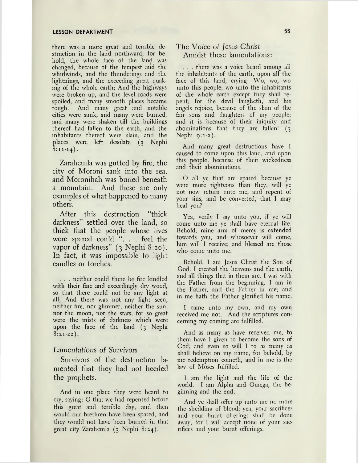there was a more great and terrible destruction in the land northward; for behold, the whole face of the land was changed, because of the tempest and the whirlwinds, and the thunderings and the lightnings, and the exceeding great quaking of the whole earth; And the highways were broken up, and the level roads were spoiled, and many smooth places became rough. And many great and notable cities were sunk, and many were burned, and many were shaken till the buildings thereof had fallen to the earth, and the inhabitants thereof were slain, and the places were left desolate (3 Nephi  $\overline{8:11-14}$ .

Zarahemla was gutted by fire, the city of Moroni sank into the sea, and Moronihah was buried beneath a mountain. And these are only examples of what happened to many others.

After this destruction "thick darkness" settled over the land, so thick that the people whose lives were spared could ". . . feel the vapor of darkness" (3 Nephi 8:20). In fact, it was impossible to light candles or torches.

. . . neither could there be fire kindled with their fine and exceedingly dry wood, so that there could not be any light at all; And there was not any light seen, neither fire, nor glimmer, neither the sun, nor the moon, nor the stars, for so great were the mists of darkness which were upon the face of the land (3 Nephi  $8:21-22$ .

#### Lamentations of Survivors

Survivors of the destruction lamented that they had not heeded the prophets.

And in one place they were heard to cry, saying: O that we had repented before this great and terrible day, and then would our brethren have been spared, and they would not have been burned in that great city Zarahemla (3 Nephi 8:24).

#### *The Voice of Jesus Christ* Amidst these lamentations:

. . . there was a voice heard among all the inhabitants of the earth, upon all the face of this land, crying: Wo, wo, wo unto this people; wo unto the inhabitants of the whole earth except they shall repent; for the devil laugheth, and his angels rejoice, because of the slain of the fair sons and daughters of my people; and it is because of their iniquity and abominations that they are fallen! (3 Nephi  $9:1-2$ ).

And many great destructions have I caused to come upon this land, and upon this people, because of their wickedness and their abominations.

O all ye that are spared because ye were more righteous than they, will ye not now return unto me, and repent of your sins, and be converted, that I may heal you?

Yea, verily I say unto you, if ye will come unto me ye shall have eternal life. Behold, mine arm of mercy is extended towards you, and whosoever will come, him will I receive; and blessed are those who come unto me.

Behold, I am Jesus Christ the Son of God. I created the heavens and the earth, and all things that in them are. I was with the Father from the beginning. I am in the Father, and the Father in me; and in me hath the Father glorified his name.

I came unto my own, and my own received me not. And the scriptures concerning my coming are fulfilled.

And as many as have received me, to them have I given to become the sons of God; and even so will I to as many as shall believe on my name, for behold, by me redemption cometh, and in me is the law of Moses fulfilled.

I am the light and the life of the world. I am Alpha and Omega, the beginning and the end.

And ye shall offer up unto me no more the shedding of blood; yea, your sacrifices and your burnt offerings shall be done away, for I will accept none of your sacrifices and your burnt offerings.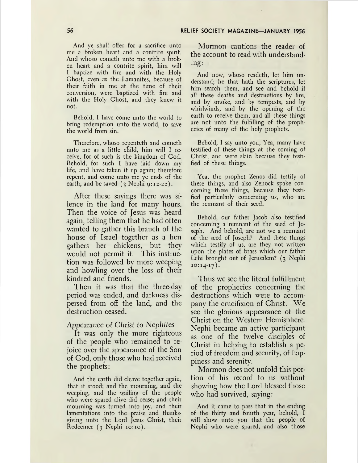#### **<sup>56</sup> RELIEF SOCIETY MAGAZINE—JANUARY <sup>1956</sup>**

And ye shall offer for a sacrifice unto me a broken heart and a contrite spirit. And whoso cometh unto me with a broken heart and a contrite spirit, him will I baptize with fire and with the Holy Ghost, even as the Lamanites, because of their faith in me at the time of their conversion, were baptized with fire and with the Holy Ghost, and they knew it not.

Behold, I have come unto the world to bring redemption unto the world, to save the world from sin.

Therefore, whoso repenteth and cometh unto me as a little child, him will I receive, for of such is the kingdom of God. Behold, for such I have laid down my life, and have taken it up again; therefore repent, and come unto me ye ends of the earth, and be saved  $(3 \text{ Nephi } 9:12-22)$ .

After these sayings there was silence in the land for many hours. Then the voice of Jesus was heard again, telling them that he had often wanted to gather this branch of the house of Israel together as a hen gathers her chickens, but they would not permit it. This instruction was followed by more weeping and howling over the loss of their kindred and friends.

Then it was that the three-day period was ended, and darkness dispersed from off the land, and the destruction ceased.

#### Appearance of *Christ to Nephites*

It was only the more righteous of the people who remained to rejoice over the appearance of the Son of God, only those who had received the prophets:

And the earth did cleave together again, that it stood; and the mourning, and the weeping, and the wailing of the people who were spared alive did cease; and their mourning was turned into joy, and their lamentations into the praise and thanksgiving unto the Lord Jesus Christ, their Redeemer (3 Nephi 10:10).

Mormon cautions the reader of the account to read with understanding:

And now, whoso readeth, let him understand; he that hath the scriptures, let him search them, and see and behold if all these deaths and destructions by fire, and by smoke, and by tempests, and by whirlwinds, and by the opening of the earth to receive them, and all these things are not unto the fulfilling of the prophecies of many of the holy prophets.

Behold, I say unto you, Yea, many have testified of these things at the coming of Christ, and were slain because they testified of these things.

Yea, the prophet Zenos did testify of these things, and also Zenock spake concorning these things, because they testified particularly concerning us, who are the remnant of their seed.

Behold, our father Jacob also testified concerning a remnant of the seed of Joseph. And behold, are not we a remnant of the seed of Joseph? And these things which testify of us, are they not written upon the plates of brass which our father Lehi brought out of Jerusalem? (3 Nephi  $10:14-17$ .

Thus we see the literal fulfillment of the prophecies concerning the destructions which were to accompany the crucifixion of Christ. We see the glorious appearance of the Christ on the Western Hemisphere. Nephi became an active participant as one of the twelve disciples of Christ in helping to establish a period of freedom and security, of happiness and serenity.

Mormon does not unfold this portion of his record to us without showing how the Lord blessed those who had survived, saying:

And it came to pass that in the ending of the thirty and fourth year, behold, I will show unto you that the people of Nephi who were spared, and also those